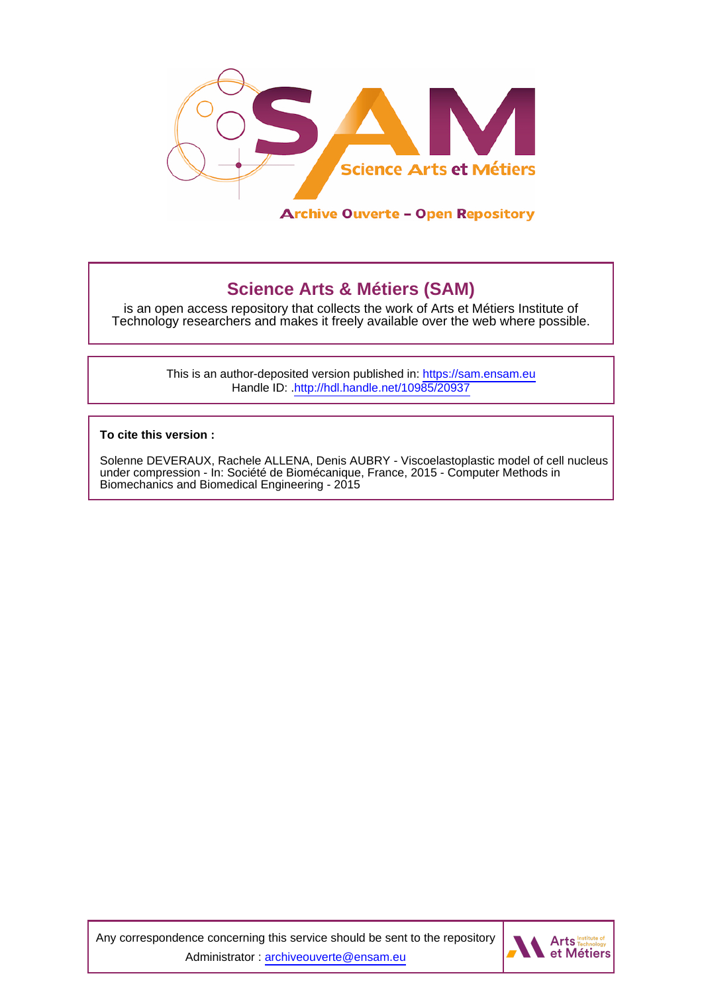

## **Science Arts & Métiers (SAM)**

is an open access repository that collects the work of Arts et Métiers Institute of Technology researchers and makes it freely available over the web where possible.

> This is an author-deposited version published in:<https://sam.ensam.eu> Handle ID: [.http://hdl.handle.net/10985/20937](http://hdl.handle.net/10985/20937)

**To cite this version :**

Solenne DEVERAUX, Rachele ALLENA, Denis AUBRY - Viscoelastoplastic model of cell nucleus under compression - In: Société de Biomécanique, France, 2015 - Computer Methods in Biomechanics and Biomedical Engineering - 2015

Any correspondence concerning this service should be sent to the repository Administrator : [archiveouverte@ensam.eu](mailto:archiveouverte@ensam.eu)

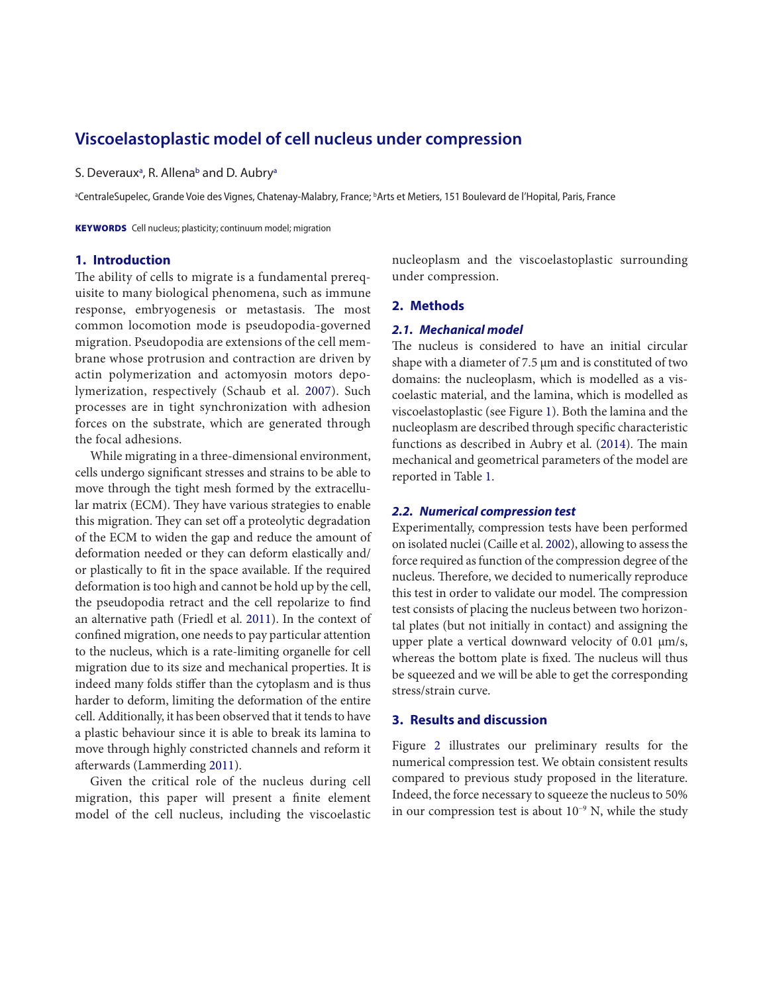# **Viscoelastoplastic model of cell nucleus under compression**

S. Dever[a](#page-1-0)ux<sup>a</sup>, R. Allena<sup>b</sup> and D. Aubry<sup>a</sup>

<span id="page-1-1"></span><span id="page-1-0"></span>ªCentraleSupelec, Grande Voie des Vignes, Chatenay-Malabry, France; ♭Arts et Metiers, 151 Boulevard de l'Hopital, Paris, France

KEYWORDS Cell nucleus; plasticity; continuum model; migration

## **1. Introduction**

The ability of cells to migrate is a fundamental prerequisite to many biological phenomena, such as immune response, embryogenesis or metastasis. The most common locomotion mode is pseudopodia-governed migration. Pseudopodia are extensions of the cell membrane whose protrusion and contraction are driven by actin polymerization and actomyosin motors depolymerization, respectively (Schaub et al. [2007\)](#page-2-0). Such processes are in tight synchronization with adhesion forces on the substrate, which are generated through the focal adhesions.

While migrating in a three-dimensional environment, cells undergo significant stresses and strains to be able to move through the tight mesh formed by the extracellular matrix (ECM). They have various strategies to enable this migration. They can set off a proteolytic degradation of the ECM to widen the gap and reduce the amount of deformation needed or they can deform elastically and/ or plastically to fit in the space available. If the required deformation is too high and cannot be hold up by the cell, the pseudopodia retract and the cell repolarize to find an alternative path (Friedl et al. [2011\)](#page-2-1). In the context of confined migration, one needs to pay particular attention to the nucleus, which is a rate-limiting organelle for cell migration due to its size and mechanical properties. It is indeed many folds stiffer than the cytoplasm and is thus harder to deform, limiting the deformation of the entire cell. Additionally, it has been observed that it tends to have a plastic behaviour since it is able to break its lamina to move through highly constricted channels and reform it afterwards (Lammerding [2011](#page-2-2)).

Given the critical role of the nucleus during cell migration, this paper will present a finite element model of the cell nucleus, including the viscoelastic nucleoplasm and the viscoelastoplastic surrounding under compression.

## **2. Methods**

### *2.1. Mechanical model*

<span id="page-1-6"></span>The nucleus is considered to have an initial circular shape with a diameter of 7.5 μm and is constituted of two domains: the nucleoplasm, which is modelled as a viscoelastic material, and the lamina, which is modelled as viscoelastoplastic (see Figure [1\)](#page-2-3). Both the lamina and the nucleoplasm are described through specific characteristic functions as described in Aubry et al. ([2014\)](#page-2-4). The main mechanical and geometrical parameters of the model are reported in Table [1.](#page-2-5)

### <span id="page-1-2"></span>*2.2. Numerical compression test*

<span id="page-1-4"></span><span id="page-1-3"></span>Experimentally, compression tests have been performed on isolated nuclei (Caille et al. [2002\)](#page-2-6), allowing to assess the force required as function of the compression degree of the nucleus. Therefore, we decided to numerically reproduce this test in order to validate our model. The compression test consists of placing the nucleus between two horizontal plates (but not initially in contact) and assigning the upper plate a vertical downward velocity of 0.01 μm/s, whereas the bottom plate is fixed. The nucleus will thus be squeezed and we will be able to get the corresponding stress/strain curve.

## **3. Results and discussion**

<span id="page-1-5"></span>Figure [2](#page-2-7) illustrates our preliminary results for the numerical compression test. We obtain consistent results compared to previous study proposed in the literature. Indeed, the force necessary to squeeze the nucleus to 50% in our compression test is about 10−9 N, while the study